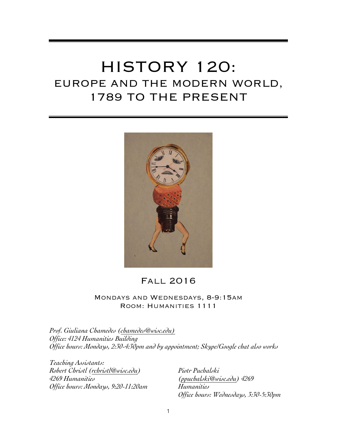# HISTORY 120: EUROPE AND THE MODERN WORLD, 1789 TO THE PRESENT



### Fall 2016

### Mondays and Wednesdays, 8-9:15am Room: Humanities 1111

*Prof. Giuliana Chamedes (chamedes@wisc.edu) Office: 4124 Humanities Building Office hours: Mondays, 2:30-4:30pm and by appointment; Skype/Google chat also works* 

*Teaching Assistants: Robert Christl (rchristl@wisc.edu) 4269 Humanities Office hours: Mondays, 9:20-11:20am* 

*Piotr Puchalski (ppuchalski@wisc.edu) 4269 Humanities Office hours: Wednesdays, 3:30-5:30pm*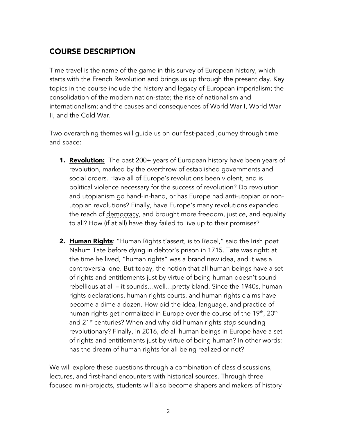### COURSE DESCRIPTION

Time travel is the name of the game in this survey of European history, which starts with the French Revolution and brings us up through the present day. Key topics in the course include the history and legacy of European imperialism; the consolidation of the modern nation-state; the rise of nationalism and internationalism; and the causes and consequences of World War I, World War II, and the Cold War.

Two overarching themes will guide us on our fast-paced journey through time and space:

- **1. Revolution:** The past 200+ years of European history have been years of revolution, marked by the overthrow of established governments and social orders. Have all of Europe's revolutions been violent, and is political violence necessary for the success of revolution? Do revolution and utopianism go hand-in-hand, or has Europe had anti-utopian or nonutopian revolutions? Finally, have Europe's many revolutions expanded the reach of democracy, and brought more freedom, justice, and equality to all? How (if at all) have they failed to live up to their promises?
- 2. Human Rights: "Human Rights t'assert, is to Rebel," said the Irish poet Nahum Tate before dying in debtor's prison in 1715. Tate was right: at the time he lived, "human rights" was a brand new idea, and it was a controversial one. But today, the notion that all human beings have a set of rights and entitlements just by virtue of being human doesn't sound rebellious at all – it sounds…well…pretty bland. Since the 1940s, human rights declarations, human rights courts, and human rights claims have become a dime a dozen. How did the idea, language, and practice of human rights get normalized in Europe over the course of the 19<sup>th</sup>, 20<sup>th</sup> and 21st centuries? When and why did human rights *stop* sounding revolutionary? Finally, in 2016, *do* all human beings in Europe have a set of rights and entitlements just by virtue of being human? In other words: has the dream of human rights for all being realized or not?

We will explore these questions through a combination of class discussions, lectures, and first-hand encounters with historical sources. Through three focused mini-projects, students will also become shapers and makers of history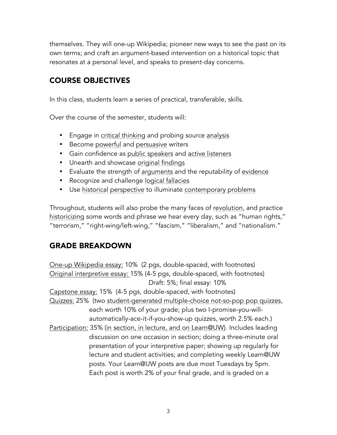themselves. They will one-up Wikipedia; pioneer new ways to see the past on its own terms; and craft an argument-based intervention on a historical topic that resonates at a personal level, and speaks to present-day concerns.

### COURSE OBJECTIVES

In this class, students learn a series of practical, transferable, skills.

Over the course of the semester, students will:

- Engage in critical thinking and probing source analysis
- Become powerful and persuasive writers
- Gain confidence as public speakers and active listeners
- Unearth and showcase original findings
- Evaluate the strength of arguments and the reputability of evidence
- Recognize and challenge logical fallacies
- Use historical perspective to illuminate contemporary problems

Throughout, students will also probe the many faces of revolution, and practice historicizing some words and phrase we hear every day, such as "human rights," "terrorism," "right-wing/left-wing," "fascism," "liberalism," and "nationalism."

### GRADE BREAKDOWN

One-up Wikipedia essay: 10% (2 pgs, double-spaced, with footnotes) Original interpretive essay: 15% (4-5 pgs, double-spaced, with footnotes) Draft: 5%; final essay: 10% Capstone essay: 15% (4-5 pgs, double-spaced, with footnotes)

Quizzes: 25% (two student-generated multiple-choice not-so-pop pop quizzes, each worth 10% of your grade; plus two I-promise-you-willautomatically-ace-it-if-you-show-up quizzes, worth 2.5% each.)

Participation: 35% (in section, in lecture, and on Learn@UW). Includes leading discussion on one occasion in section; doing a three-minute oral presentation of your interpretive paper; showing up regularly for lecture and student activities; and completing weekly Learn@UW posts. Your Learn@UW posts are due most Tuesdays by 5pm. Each post is worth 2% of your final grade, and is graded on a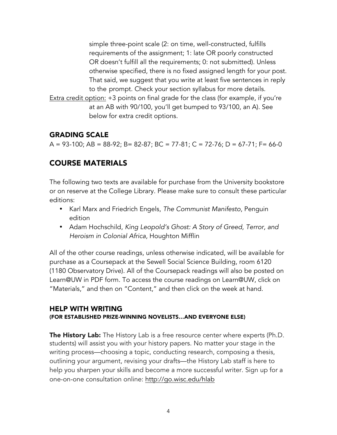simple three-point scale (2: on time, well-constructed, fulfills requirements of the assignment; 1: late OR poorly constructed OR doesn't fulfill all the requirements; 0: not submitted). Unless otherwise specified, there is no fixed assigned length for your post. That said, we suggest that you write at least five sentences in reply to the prompt. Check your section syllabus for more details.

Extra credit option: +3 points on final grade for the class (for example, if you're at an AB with 90/100, you'll get bumped to 93/100, an A). See below for extra credit options.

### GRADING SCALE

A = 93-100; AB = 88-92; B= 82-87; BC = 77-81; C = 72-76; D = 67-71; F= 66-0

### COURSE MATERIALS

The following two texts are available for purchase from the University bookstore or on reserve at the College Library. Please make sure to consult these particular editions:

- Karl Marx and Friedrich Engels, *The Communist Manifesto*, Penguin edition
- Adam Hochschild, *King Leopold's Ghost: A Story of Greed, Terror, and Heroism in Colonial Africa*, Houghton Mifflin

All of the other course readings, unless otherwise indicated, will be available for purchase as a Coursepack at the Sewell Social Science Building, room 6120 (1180 Observatory Drive). All of the Coursepack readings will also be posted on Learn@UW in PDF form. To access the course readings on Learn@UW, click on "Materials," and then on "Content," and then click on the week at hand.

### HELP WITH WRITING

#### (FOR ESTABLISHED PRIZE-WINNING NOVELISTS…AND EVERYONE ELSE)

The History Lab: The History Lab is a free resource center where experts (Ph.D. students) will assist you with your history papers. No matter your stage in the writing process—choosing a topic, conducting research, composing a thesis, outlining your argument, revising your drafts—the History Lab staff is here to help you sharpen your skills and become a more successful writer. Sign up for a one-on-one consultation online: http://go.wisc.edu/hlab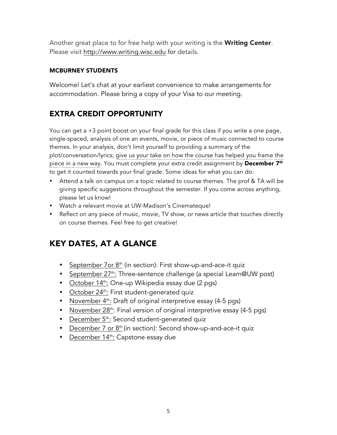Another great place to for free help with your writing is the **Writing Center**. Please visit http://www.writing.wisc.edu for details.

### MCBURNEY STUDENTS

Welcome! Let's chat at your earliest convenience to make arrangements for accommodation. Please bring a copy of your Visa to our meeting.

### EXTRA CREDIT OPPORTUNITY

You can get a +3 point boost on your final grade for this class if you write a one page, single-spaced, analysis of one an events, movie, or piece of music connected to course themes. In your analysis, don't limit yourself to providing a summary of the plot/conversation/lyrics; give us your take on how the course has helped you frame the piece in a new way. You must complete your extra credit assignment by **December 7<sup>th</sup>** to get it counted towards your final grade. Some ideas for what you can do:

- Attend a talk on campus on a topic related to course themes. The prof & TA will be giving specific suggestions throughout the semester. If you come across anything, please let us know!
- Watch a relevant movie at UW-Madison's Cinemateque!
- Reflect on any piece of music, movie, TV show, or news article that touches directly on course themes. Feel free to get creative!

# KEY DATES, AT A GLANCE

- September  $7$ or  $8<sup>th</sup>$  (in section): First show-up-and-ace-it quiz
- September 27<sup>th</sup>: Three-sentence challenge (a special Learn@UW post)
- October  $14<sup>th</sup>$ : One-up Wikipedia essay due (2 pgs)
- October 24<sup>th</sup>: First student-generated quiz
- November  $4<sup>th</sup>$ : Draft of original interpretive essay (4-5 pgs)
- November 28<sup>th</sup>: Final version of original interpretive essay (4-5 pgs)
- December 5<sup>th</sup>: Second student-generated quiz
- December 7 or  $8<sup>th</sup>$  (in section): Second show-up-and-ace-it quiz
- December 14<sup>th</sup>: Capstone essay due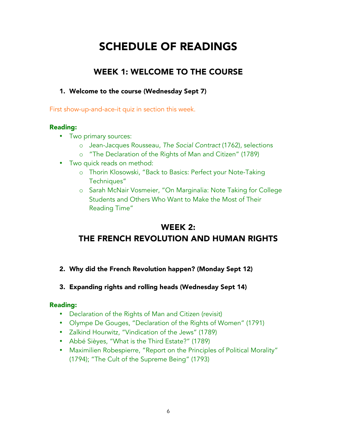# SCHEDULE OF READINGS

# WEEK 1: WELCOME TO THE COURSE

### 1. Welcome to the course (Wednesday Sept 7)

First show-up-and-ace-it quiz in section this week.

### Reading:

- Two primary sources:
	- o Jean-Jacques Rousseau, *The Social Contract* (1762), selections
	- o "The Declaration of the Rights of Man and Citizen" (1789)
- Two quick reads on method:
	- o Thorin Klosowski, "Back to Basics: Perfect your Note-Taking Techniques"
	- o Sarah McNair Vosmeier, "On Marginalia: Note Taking for College Students and Others Who Want to Make the Most of Their Reading Time"

## WEEK 2: THE FRENCH REVOLUTION AND HUMAN RIGHTS

- 2. Why did the French Revolution happen? (Monday Sept 12)
- 3. Expanding rights and rolling heads (Wednesday Sept 14)

- Declaration of the Rights of Man and Citizen (revisit)
- Olympe De Gouges, "Declaration of the Rights of Women" (1791)
- Zalkind Hourwitz, "Vindication of the Jews" (1789)
- Abbé Sièyes, "What is the Third Estate?" (1789)
- Maximilien Robespierre, "Report on the Principles of Political Morality" (1794); "The Cult of the Supreme Being" (1793)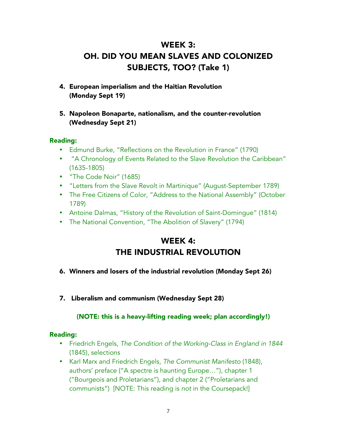# WEEK 3: OH. DID YOU MEAN SLAVES AND COLONIZED SUBJECTS, TOO? (Take 1)

- 4. European imperialism and the Haitian Revolution (Monday Sept 19)
- 5. Napoleon Bonaparte, nationalism, and the counter-revolution (Wednesday Sept 21)

### Reading:

- Edmund Burke, "Reflections on the Revolution in France" (1790)
- "A Chronology of Events Related to the Slave Revolution the Caribbean" (1635-1805)
- "The Code Noir" (1685)
- "Letters from the Slave Revolt in Martinique" (August-September 1789)
- The Free Citizens of Color, "Address to the National Assembly" (October 1789)
- Antoine Dalmas, "History of the Revolution of Saint-Domingue" (1814)
- The National Convention, "The Abolition of Slavery" (1794)

## WEEK 4: THE INDUSTRIAL REVOLUTION

- 6. Winners and losers of the industrial revolution (Monday Sept 26)
- 7. Liberalism and communism (Wednesday Sept 28)

### (NOTE: this is a heavy-lifting reading week; plan accordingly!)

- Friedrich Engels, *The Condition of the Working-Class in England in 1844* (1845), selections
- Karl Marx and Friedrich Engels, *The Communist Manifesto* (1848), authors' preface ("A spectre is haunting Europe…"), chapter 1 ("Bourgeois and Proletarians"), and chapter 2 ("Proletarians and communists") [NOTE: This reading is *not* in the Coursepack!]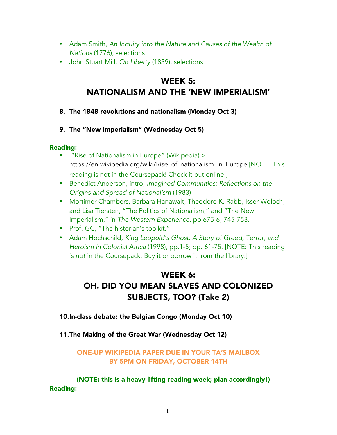- Adam Smith, *An Inquiry into the Nature and Causes of the Wealth of Nations* (1776), selections
- John Stuart Mill, *On Liberty* (1859), selections

## WEEK 5: NATIONALISM AND THE 'NEW IMPERIALISM'

- 8. The 1848 revolutions and nationalism (Monday Oct 3)
- 9. The "New Imperialism" (Wednesday Oct 5)

### Reading:

- "Rise of Nationalism in Europe" (Wikipedia) > https://en.wikipedia.org/wiki/Rise\_of\_nationalism\_in\_Europe [NOTE: This reading is not in the Coursepack! Check it out online!]
- Benedict Anderson, intro, *Imagined Communities: Reflections on the Origins and Spread of Nationalism* (1983)
- Mortimer Chambers, Barbara Hanawalt, Theodore K. Rabb, Isser Woloch, and Lisa Tiersten, "The Politics of Nationalism," and "The New Imperialism," in *The Western Experience*, pp.675-6; 745-753.
- Prof. GC, "The historian's toolkit."
- Adam Hochschild, *King Leopold's Ghost: A Story of Greed, Terror, and Heroism in Colonial Africa* (1998), pp.1-5; pp. 61-75. [NOTE: This reading is not in the Coursepack! Buy it or borrow it from the library.]

# WEEK 6: OH. DID YOU MEAN SLAVES AND COLONIZED SUBJECTS, TOO? (Take 2)

10.In-class debate: the Belgian Congo (Monday Oct 10)

11.The Making of the Great War (Wednesday Oct 12)

### ONE-UP WIKIPEDIA PAPER DUE IN YOUR TA'S MAILBOX BY 5PM ON FRIDAY, OCTOBER 14TH

(NOTE: this is a heavy-lifting reading week; plan accordingly!) Reading: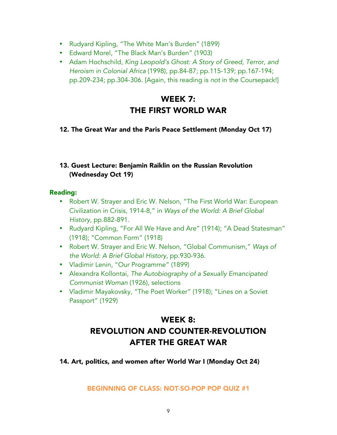- Rudyard Kipling, "The White Man's Burden" (1899)
- Edward Morel, "The Black Man's Burden" (1903)
- Adam Hochschild, *King Leopold's Ghost: A Story of Greed, Terror, and Heroism in Colonial Africa* (1998), pp.84-87; pp.115-139; pp.167-194; pp.209-234; pp.304-306. [Again, this reading is *not* in the Coursepack!]

# WEEK 7: THE FIRST WORLD WAR

### 12. The Great War and the Paris Peace Settlement (Monday Oct 17)

### 13. Guest Lecture: Benjamin Raiklin on the Russian Revolution (Wednesday Oct 19)

#### Reading:

- Robert W. Strayer and Eric W. Nelson, "The First World War: European Civilization in Crisis, 1914-8," in *Ways of the World: A Brief Global History*, pp.882-891.
- Rudyard Kipling, "For All We Have and Are" (1914); "A Dead Statesman" (1918); "Common Form" (1918)
- Robert W. Strayer and Eric W. Nelson, "Global Communism," *Ways of the World: A Brief Global History*, pp.930-936.
- Vladimir Lenin, "Our Programme" (1899)
- Alexandra Kollontai, *The Autobiography of a Sexually Emancipated Communist Woman* (1926), selections
- Vladimir Mayakovsky, "The Poet Worker" (1918); "Lines on a Soviet Passport" (1929)

# WEEK 8: REVOLUTION AND COUNTER-REVOLUTION AFTER THE GREAT WAR

14. Art, politics, and women after World War I (Monday Oct 24)

BEGINNING OF CLASS: NOT-SO-POP POP QUIZ #1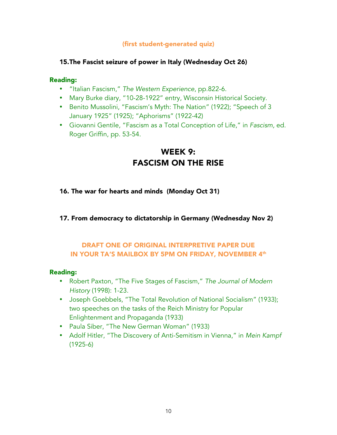### (first student-generated quiz)

### 15.The Fascist seizure of power in Italy (Wednesday Oct 26)

### Reading:

- "Italian Fascism," *The Western Experience*, pp.822-6.
- Mary Burke diary, "10-28-1922" entry, Wisconsin Historical Society.
- Benito Mussolini, "Fascism's Myth: The Nation" (1922); "Speech of 3 January 1925" (1925); "Aphorisms" (1922-42)
- Giovanni Gentile, "Fascism as a Total Conception of Life," in *Fascism,* ed. Roger Griffin, pp. 53-54.

### WEEK 9: FASCISM ON THE RISE

- 16. The war for hearts and minds (Monday Oct 31)
- 17. From democracy to dictatorship in Germany (Wednesday Nov 2)

### DRAFT ONE OF ORIGINAL INTERPRETIVE PAPER DUE IN YOUR TA'S MAILBOX BY 5PM ON FRIDAY, NOVEMBER 4th

- Robert Paxton, "The Five Stages of Fascism," *The Journal of Modern History* (1998): 1-23.
- Joseph Goebbels, "The Total Revolution of National Socialism" (1933); two speeches on the tasks of the Reich Ministry for Popular Enlightenment and Propaganda (1933)
- Paula Siber, "The New German Woman" (1933)
- Adolf Hitler, "The Discovery of Anti-Semitism in Vienna," in *Mein Kampf* (1925-6)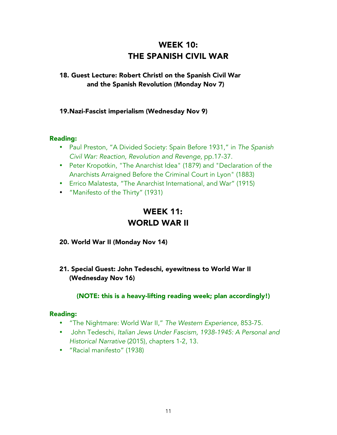# WEEK 10: THE SPANISH CIVIL WAR

### 18. Guest Lecture: Robert Christl on the Spanish Civil War and the Spanish Revolution (Monday Nov 7)

### 19.Nazi-Fascist imperialism (Wednesday Nov 9)

#### Reading:

- Paul Preston, "A Divided Society: Spain Before 1931," in *The Spanish Civil War: Reaction, Revolution and Revenge*, pp.17-37.
- Peter Kropotkin, "The Anarchist Idea" (1879) and "Declaration of the Anarchists Arraigned Before the Criminal Court in Lyon" (1883)
- Errico Malatesta, "The Anarchist International, and War" (1915)
- "Manifesto of the Thirty" (1931)

### WEEK 11: WORLD WAR II

- 20. World War II (Monday Nov 14)
- 21. Special Guest: John Tedeschi, eyewitness to World War II (Wednesday Nov 16)

### (NOTE: this is a heavy-lifting reading week; plan accordingly!)

- "The Nightmare: World War II," *The Western Experience*, 853-75.
- John Tedeschi, *Italian Jews Under Fascism, 1938-1945: A Personal and Historical Narrative* (2015), chapters 1-2, 13.
- "Racial manifesto" (1938)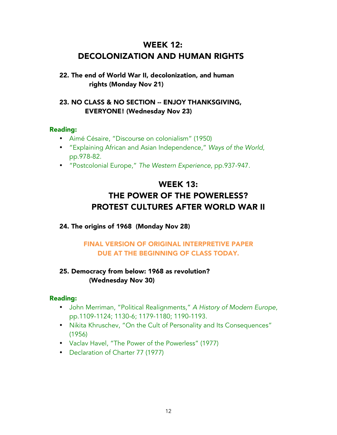# WEEK 12: DECOLONIZATION AND HUMAN RIGHTS

### 22. The end of World War II, decolonization, and human rights (Monday Nov 21)

### 23. NO CLASS & NO SECTION -- ENJOY THANKSGIVING, EVERYONE! (Wednesday Nov 23)

### Reading:

- Aimé Césaire, "Discourse on colonialism" (1950)
- "Explaining African and Asian Independence," *Ways of the World*, pp.978-82.
- "Postcolonial Europe," *The Western Experience*, pp.937-947.

# WEEK 13: THE POWER OF THE POWERLESS? PROTEST CULTURES AFTER WORLD WAR II

### 24. The origins of 1968 (Monday Nov 28)

### FINAL VERSION OF ORIGINAL INTERPRETIVE PAPER DUE AT THE BEGINNING OF CLASS TODAY.

### 25. Democracy from below: 1968 as revolution? (Wednesday Nov 30)

- John Merriman, "Political Realignments," *A History of Modern Europe*, pp.1109-1124; 1130-6; 1179-1180; 1190-1193.
- Nikita Khruschev, "On the Cult of Personality and Its Consequences" (1956)
- Vaclav Havel, "The Power of the Powerless" (1977)
- Declaration of Charter 77 (1977)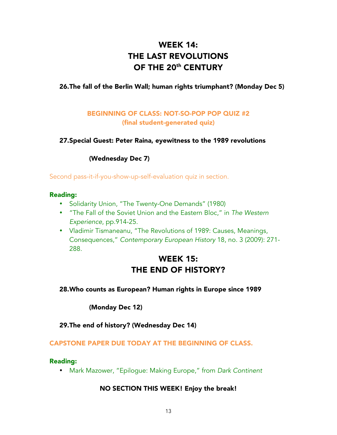# WEEK 14: THE LAST REVOLUTIONS OF THE 20<sup>th</sup> CENTURY

### 26.The fall of the Berlin Wall; human rights triumphant? (Monday Dec 5)

### BEGINNING OF CLASS: NOT-SO-POP POP QUIZ #2 (final student-generated quiz)

### 27.Special Guest: Peter Raina, eyewitness to the 1989 revolutions

### (Wednesday Dec 7)

Second pass-it-if-you-show-up-self-evaluation quiz in section.

#### Reading:

- Solidarity Union, "The Twenty-One Demands" (1980)
- "The Fall of the Soviet Union and the Eastern Bloc," in *The Western Experience*, pp.914-25.
- Vladimir Tismaneanu, "The Revolutions of 1989: Causes, Meanings, Consequences," *Contemporary European History* 18, no. 3 (2009): 271- 288.

### WEEK 15: THE END OF HISTORY?

### 28.Who counts as European? Human rights in Europe since 1989

### (Monday Dec 12)

29.The end of history? (Wednesday Dec 14)

#### CAPSTONE PAPER DUE TODAY AT THE BEGINNING OF CLASS.

#### Reading:

• Mark Mazower, "Epilogue: Making Europe," from *Dark Continent*

### NO SECTION THIS WEEK! Enjoy the break!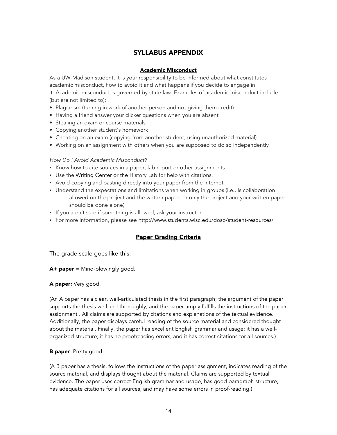### SYLLABUS APPENDIX

#### Academic Misconduct

As a UW-Madison student, it is your responsibility to be informed about what constitutes academic misconduct, how to avoid it and what happens if you decide to engage in it. Academic misconduct is governed by state law. Examples of academic misconduct include (but are not limited to):

- Plagiarism (turning in work of another person and not giving them credit)
- Having a friend answer your clicker questions when you are absent
- Stealing an exam or course materials
- Copying another student's homework
- Cheating on an exam (copying from another student, using unauthorized material)
- Working on an assignment with others when you are supposed to do so independently

#### *How Do I Avoid Academic Misconduct?*

- Know how to cite sources in a paper, lab report or other assignments
- Use the Writing Center or the History Lab for help with citations.
- Avoid copying and pasting directly into your paper from the internet
- Understand the expectations and limitations when working in groups (i.e., Is collaboration allowed on the project and the written paper, or only the project and your written paper should be done alone)
- If you aren't sure if something is allowed, ask your instructor
- For more information, please see http://www.students.wisc.edu/doso/student-resources/

#### Paper Grading Criteria

The grade scale goes like this:

 $A+$  paper = Mind-blowingly good.

#### A paper: Very good.

(An A paper has a clear, well-articulated thesis in the first paragraph; the argument of the paper supports the thesis well and thoroughly; and the paper amply fulfills the instructions of the paper assignment . All claims are supported by citations and explanations of the textual evidence. Additionally, the paper displays careful reading of the source material and considered thought about the material. Finally, the paper has excellent English grammar and usage; it has a wellorganized structure; it has no proofreading errors; and it has correct citations for all sources.)

#### **B paper: Pretty good.**

(A B paper has a thesis, follows the instructions of the paper assignment, indicates reading of the source material, and displays thought about the material. Claims are supported by textual evidence. The paper uses correct English grammar and usage, has good paragraph structure, has adequate citations for all sources, and may have some errors in proof-reading.)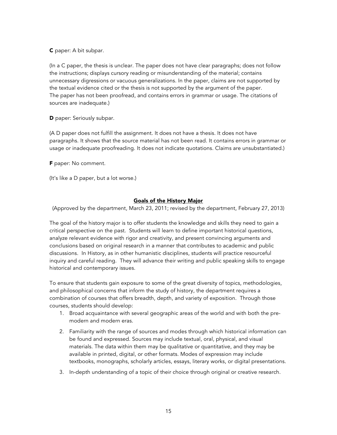C paper: A bit subpar.

(In a C paper, the thesis is unclear. The paper does not have clear paragraphs; does not follow the instructions; displays cursory reading or misunderstanding of the material; contains unnecessary digressions or vacuous generalizations. In the paper, claims are not supported by the textual evidence cited or the thesis is not supported by the argument of the paper. The paper has not been proofread, and contains errors in grammar or usage. The citations of sources are inadequate.)

D paper: Seriously subpar.

(A D paper does not fulfill the assignment. It does not have a thesis. It does not have paragraphs. It shows that the source material has not been read. It contains errors in grammar or usage or inadequate proofreading. It does not indicate quotations. Claims are unsubstantiated.)

F paper: No comment.

(It's like a D paper, but a lot worse.)

#### Goals of the History Major

(Approved by the department, March 23, 2011; revised by the department, February 27, 2013)

The goal of the history major is to offer students the knowledge and skills they need to gain a critical perspective on the past. Students will learn to define important historical questions, analyze relevant evidence with rigor and creativity, and present convincing arguments and conclusions based on original research in a manner that contributes to academic and public discussions. In History, as in other humanistic disciplines, students will practice resourceful inquiry and careful reading. They will advance their writing and public speaking skills to engage historical and contemporary issues.

To ensure that students gain exposure to some of the great diversity of topics, methodologies, and philosophical concerns that inform the study of history, the department requires a combination of courses that offers breadth, depth, and variety of exposition. Through those courses, students should develop:

- 1. Broad acquaintance with several geographic areas of the world and with both the premodern and modern eras.
- 2. Familiarity with the range of sources and modes through which historical information can be found and expressed. Sources may include textual, oral, physical, and visual materials. The data within them may be qualitative or quantitative, and they may be available in printed, digital, or other formats. Modes of expression may include textbooks, monographs, scholarly articles, essays, literary works, or digital presentations.
- 3. In-depth understanding of a topic of their choice through original or creative research.